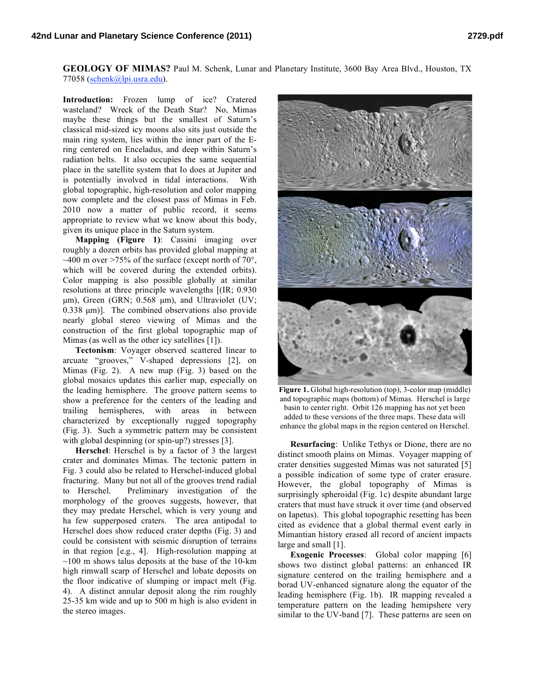**GEOLOGY OF MIMAS?** Paul M. Schenk, Lunar and Planetary Institute, 3600 Bay Area Blvd., Houston, TX 77058 (schenk@lpi.usra.edu).

**Introduction:** Frozen lump of ice? Cratered wasteland? Wreck of the Death Star? No, Mimas maybe these things but the smallest of Saturn's classical mid-sized icy moons also sits just outside the main ring system, lies within the inner part of the Ering centered on Enceladus, and deep within Saturn's radiation belts. It also occupies the same sequential place in the satellite system that Io does at Jupiter and is potentially involved in tidal interactions. With global topographic, high-resolution and color mapping now complete and the closest pass of Mimas in Feb. 2010 now a matter of public record, it seems appropriate to review what we know about this body, given its unique place in the Saturn system.

**Mapping (Figure 1)**: Cassini imaging over roughly a dozen orbits has provided global mapping at  $\sim$ 400 m over >75% of the surface (except north of 70°, which will be covered during the extended orbits). Color mapping is also possible globally at similar resolutions at three principle wavelengths [(IR; 0.930 µm), Green (GRN; 0.568 µm), and Ultraviolet (UV; 0.338  $\mu$ m)]. The combined observations also provide nearly global stereo viewing of Mimas and the construction of the first global topographic map of Mimas (as well as the other icy satellites [1]).

**Tectonism**: Voyager observed scattered linear to arcuate "grooves," V-shaped depressions [2], on Mimas (Fig. 2). A new map (Fig. 3) based on the global mosaics updates this earlier map, especially on the leading hemisphere. The groove pattern seems to show a preference for the centers of the leading and trailing hemispheres, with areas in between characterized by exceptionally rugged topography (Fig. 3). Such a symmetric pattern may be consistent with global despinning (or spin-up?) stresses [3].

**Herschel**: Herschel is by a factor of 3 the largest crater and dominates Mimas. The tectonic pattern in Fig. 3 could also be related to Herschel-induced global fracturing. Many but not all of the grooves trend radial to Herschel. Preliminary investigation of the morphology of the grooves suggests, however, that they may predate Herschel, which is very young and ha few supperposed craters. The area antipodal to Herschel does show reduced crater depths (Fig. 3) and could be consistent with seismic disruption of terrains in that region [e.g., 4]. High-resolution mapping at  $\sim$ 100 m shows talus deposits at the base of the 10-km high rimwall scarp of Herschel and lobate deposits on the floor indicative of slumping or impact melt (Fig. 4). A distinct annular deposit along the rim roughly 25-35 km wide and up to 500 m high is also evident in the stereo images.



Figure 1. Global high-resolution (top), 3-color map (middle) and topographic maps (bottom) of Mimas. Herschel is large basin to center right. Orbit 126 mapping has not yet been added to these versions of the three maps. These data will enhance the global maps in the region centered on Herschel.

**Resurfacing**: Unlike Tethys or Dione, there are no distinct smooth plains on Mimas. Voyager mapping of crater densities suggested Mimas was not saturated [5] a possible indication of some type of crater erasure. However, the global topography of Mimas is surprisingly spheroidal (Fig. 1c) despite abundant large craters that must have struck it over time (and observed on Iapetus). This global topographic resetting has been cited as evidence that a global thermal event early in Mimantian history erased all record of ancient impacts large and small [1].

**Exogenic Processes**: Global color mapping [6] shows two distinct global patterns: an enhanced IR signature centered on the trailing hemisphere and a borad UV-enhanced signature along the equator of the leading hemisphere (Fig. 1b). IR mapping revealed a temperature pattern on the leading hemipshere very similar to the UV-band [7]. These patterns are seen on